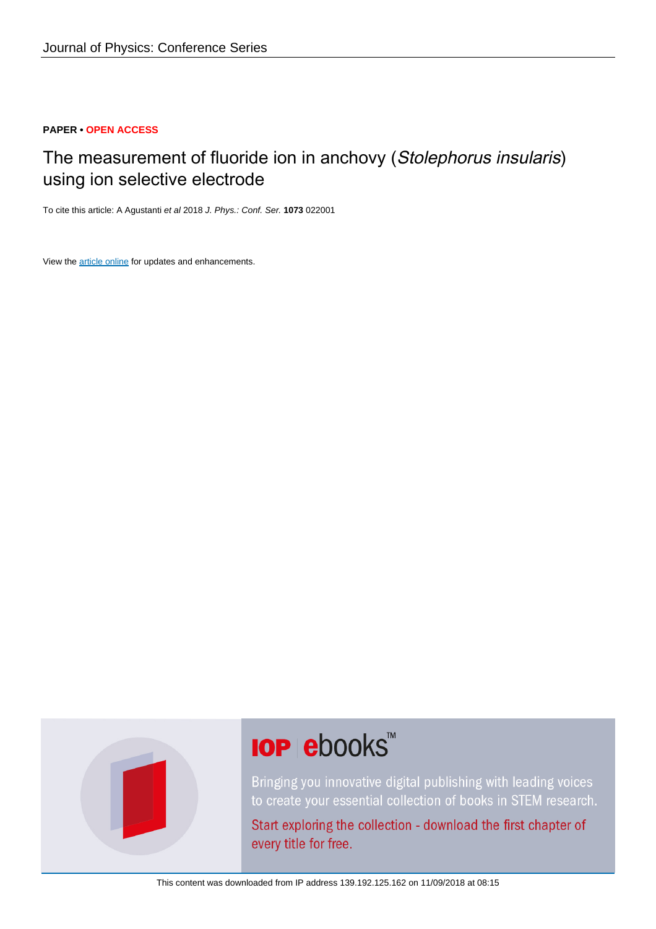# **PAPER • OPEN ACCESS**

# The measurement of fluoride ion in anchovy (Stolephorus insularis) using ion selective electrode

To cite this article: A Agustanti et al 2018 J. Phys.: Conf. Ser. **1073** 022001

View the [article online](https://doi.org/10.1088/1742-6596/1073/2/022001) for updates and enhancements.



# **IOP ebooks**™

Bringing you innovative digital publishing with leading voices to create your essential collection of books in STEM research.

Start exploring the collection - download the first chapter of every title for free.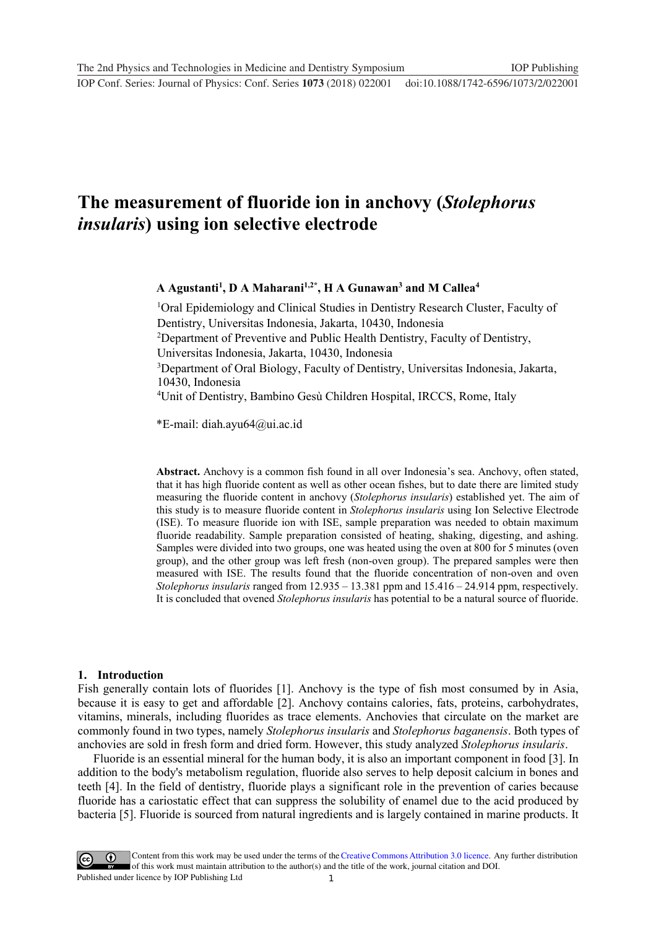# **1234567890** ''"" IOP Conf. Series: Journal of Physics: Conf. Series **1073** (2018) 022001 doi :10.1088/1742-6596/1073/2/022001

# **The measurement of fluoride ion in anchovy (***Stolephorus insularis***) using ion selective electrode**

# **A Agustanti1 , D A Maharani1,2\*, H A Gunawan3 and M Callea4**

<sup>1</sup>Oral Epidemiology and Clinical Studies in Dentistry Research Cluster, Faculty of Dentistry, Universitas Indonesia, Jakarta, 10430, Indonesia

<sup>2</sup>Department of Preventive and Public Health Dentistry, Faculty of Dentistry,

Universitas Indonesia, Jakarta, 10430, Indonesia

<sup>3</sup>Department of Oral Biology, Faculty of Dentistry, Universitas Indonesia, Jakarta, 10430, Indonesia

4 Unit of Dentistry, Bambino Gesù Children Hospital, IRCCS, Rome, Italy

\*E-mail: diah.ayu64@ui.ac.id

**Abstract.** Anchovy is a common fish found in all over Indonesia's sea. Anchovy, often stated, that it has high fluoride content as well as other ocean fishes, but to date there are limited study measuring the fluoride content in anchovy (*Stolephorus insularis*) established yet. The aim of this study is to measure fluoride content in *Stolephorus insularis* using Ion Selective Electrode (ISE). To measure fluoride ion with ISE, sample preparation was needed to obtain maximum fluoride readability. Sample preparation consisted of heating, shaking, digesting, and ashing. Samples were divided into two groups, one was heated using the oven at 800 for 5 minutes (oven group), and the other group was left fresh (non-oven group). The prepared samples were then measured with ISE. The results found that the fluoride concentration of non-oven and oven *Stolephorus insularis* ranged from 12.935 – 13.381 ppm and 15.416 – 24.914 ppm, respectively. It is concluded that ovened *Stolephorus insularis* has potential to be a natural source of fluoride.

#### **1. Introduction**

Fish generally contain lots of fluorides [1]. Anchovy is the type of fish most consumed by in Asia, because it is easy to get and affordable [2]. Anchovy contains calories, fats, proteins, carbohydrates, vitamins, minerals, including fluorides as trace elements. Anchovies that circulate on the market are commonly found in two types, namely *Stolephorus insularis* and *Stolephorus baganensis*. Both types of anchovies are sold in fresh form and dried form. However, this study analyzed *Stolephorus insularis*.

Fluoride is an essential mineral for the human body, it is also an important component in food [3]. In addition to the body's metabolism regulation, fluoride also serves to help deposit calcium in bones and teeth [4]. In the field of dentistry, fluoride plays a significant role in the prevention of caries because fluoride has a cariostatic effect that can suppress the solubility of enamel due to the acid produced by bacteria [5]. Fluoride is sourced from natural ingredients and is largely contained in marine products. It

1 Content from this work may be used under the terms of the[Creative Commons Attribution 3.0 licence.](http://creativecommons.org/licenses/by/3.0) Any further distribution of this work must maintain attribution to the author(s) and the title of the work, journal citation and DOI. Published under licence by IOP Publishing Ltd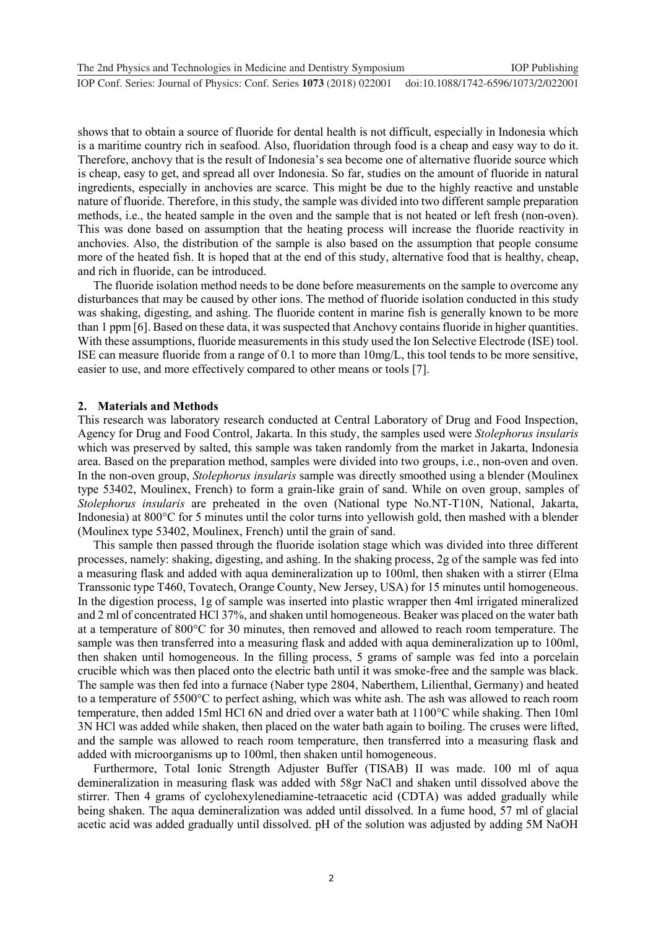shows that to obtain a source of fluoride for dental health is not difficult, especially in Indonesia which is a maritime country rich in seafood. Also, fluoridation through food is a cheap and easy way to do it. Therefore, anchovy that is the result of Indonesia's sea become one of alternative fluoride source which is cheap, easy to get, and spread all over Indonesia. So far, studies on the amount of fluoride in natural ingredients, especially in anchovies are scarce. This might be due to the highly reactive and unstable nature of fluoride. Therefore, in this study, the sample was divided into two different sample preparation methods, i.e., the heated sample in the oven and the sample that is not heated or left fresh (non-oven). This was done based on assumption that the heating process will increase the fluoride reactivity in anchovies. Also, the distribution of the sample is also based on the assumption that people consume more of the heated fish. It is hoped that at the end of this study, alternative food that is healthy, cheap, and rich in fluoride, can be introduced.

The fluoride isolation method needs to be done before measurements on the sample to overcome any disturbances that may be caused by other ions. The method of fluoride isolation conducted in this study was shaking, digesting, and ashing. The fluoride content in marine fish is generally known to be more than 1 ppm [6]. Based on these data, it was suspected that Anchovy contains fluoride in higher quantities. With these assumptions, fluoride measurements in this study used the Ion Selective Electrode (ISE) tool. ISE can measure fluoride from a range of 0.1 to more than 10mg/L, this tool tends to be more sensitive, easier to use, and more effectively compared to other means or tools [7].

# **2. Materials and Methods**

This research was laboratory research conducted at Central Laboratory of Drug and Food Inspection, Agency for Drug and Food Control, Jakarta. In this study, the samples used were *Stolephorus insularis* which was preserved by salted, this sample was taken randomly from the market in Jakarta, Indonesia area. Based on the preparation method, samples were divided into two groups, i.e., non-oven and oven. In the non-oven group, *Stolephorus insularis* sample was directly smoothed using a blender (Moulinex type 53402, Moulinex, French) to form a grain-like grain of sand. While on oven group, samples of *Stolephorus insularis* are preheated in the oven (National type No.NT-T10N, National, Jakarta, Indonesia) at 800°C for 5 minutes until the color turns into yellowish gold, then mashed with a blender (Moulinex type 53402, Moulinex, French) until the grain of sand.

This sample then passed through the fluoride isolation stage which was divided into three different processes, namely: shaking, digesting, and ashing. In the shaking process, 2g of the sample was fed into a measuring flask and added with aqua demineralization up to 100ml, then shaken with a stirrer (Elma Transsonic type T460, Tovatech, Orange County, New Jersey, USA) for 15 minutes until homogeneous. In the digestion process, 1g of sample was inserted into plastic wrapper then 4ml irrigated mineralized and 2 ml of concentrated HCl 37%, and shaken until homogeneous. Beaker was placed on the water bath at a temperature of 800°C for 30 minutes, then removed and allowed to reach room temperature. The sample was then transferred into a measuring flask and added with aqua demineralization up to 100ml, then shaken until homogeneous. In the filling process, 5 grams of sample was fed into a porcelain crucible which was then placed onto the electric bath until it was smoke-free and the sample was black. The sample was then fed into a furnace (Naber type 2804, Naberthem, Lilienthal, Germany) and heated to a temperature of 5500°C to perfect ashing, which was white ash. The ash was allowed to reach room temperature, then added 15ml HCl 6N and dried over a water bath at 1100°C while shaking. Then 10ml 3N HCl was added while shaken, then placed on the water bath again to boiling. The cruses were lifted, and the sample was allowed to reach room temperature, then transferred into a measuring flask and added with microorganisms up to 100ml, then shaken until homogeneous.

Furthermore, Total Ionic Strength Adjuster Buffer (TISAB) II was made. 100 ml of aqua demineralization in measuring flask was added with 58gr NaCl and shaken until dissolved above the stirrer. Then 4 grams of cyclohexylenediamine-tetraacetic acid (CDTA) was added gradually while being shaken. The aqua demineralization was added until dissolved. In a fume hood, 57 ml of glacial acetic acid was added gradually until dissolved. pH of the solution was adjusted by adding 5M NaOH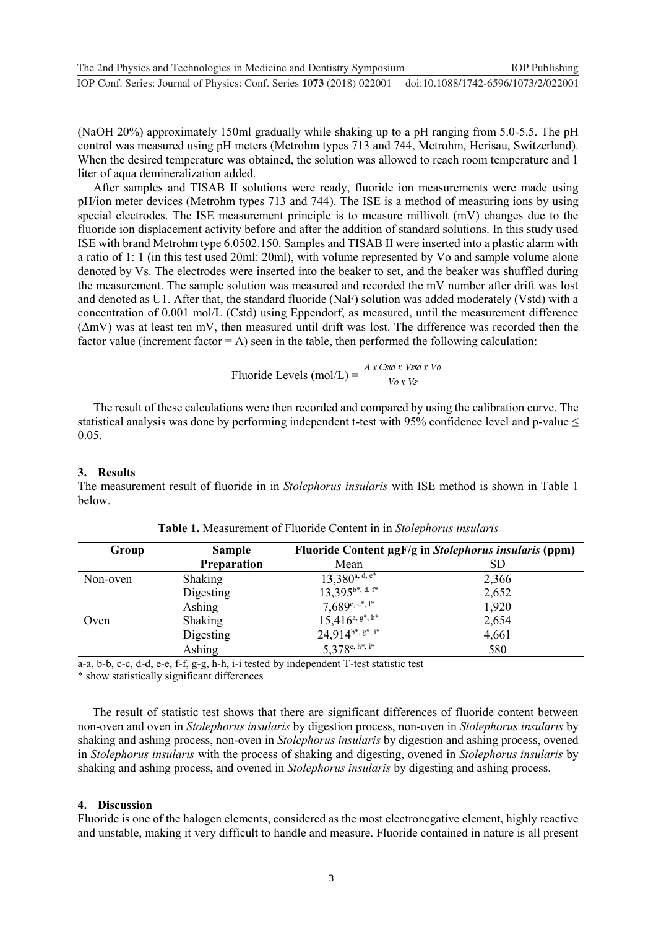(NaOH 20%) approximately 150ml gradually while shaking up to a pH ranging from 5.0-5.5. The pH control was measured using pH meters (Metrohm types 713 and 744, Metrohm, Herisau, Switzerland). When the desired temperature was obtained, the solution was allowed to reach room temperature and 1 liter of aqua demineralization added.

After samples and TISAB II solutions were ready, fluoride ion measurements were made using pH/ion meter devices (Metrohm types 713 and 744). The ISE is a method of measuring ions by using special electrodes. The ISE measurement principle is to measure millivolt (mV) changes due to the fluoride ion displacement activity before and after the addition of standard solutions. In this study used ISE with brand Metrohm type 6.0502.150. Samples and TISAB II were inserted into a plastic alarm with a ratio of 1: 1 (in this test used 20ml: 20ml), with volume represented by Vo and sample volume alone denoted by Vs. The electrodes were inserted into the beaker to set, and the beaker was shuffled during the measurement. The sample solution was measured and recorded the mV number after drift was lost and denoted as U1. After that, the standard fluoride (NaF) solution was added moderately (Vstd) with a concentration of 0.001 mol/L (Cstd) using Eppendorf, as measured, until the measurement difference (ΔmV) was at least ten mV, then measured until drift was lost. The difference was recorded then the factor value (increment factor  $= A$ ) seen in the table, then performed the following calculation:

Fluoride Levels (mol/L) = 
$$
\frac{A x \text{ Cstd } x \text{ Vsd } x \text{ Vo}}{V \text{ o } x \text{ Vs}}
$$

The result of these calculations were then recorded and compared by using the calibration curve. The statistical analysis was done by performing independent t-test with 95% confidence level and p-value  $\leq$ 0.05.

# **3. Results**

The measurement result of fluoride in in *Stolephorus insularis* with ISE method is shown in Table 1 below.

| Group    | <b>Sample</b><br><b>Preparation</b> | Fluoride Content µgF/g in Stolephorus insularis (ppm) |       |
|----------|-------------------------------------|-------------------------------------------------------|-------|
|          |                                     | Mean                                                  | SD    |
| Non-oven | Shaking                             | $13,380^{\text{a},\text{d},\text{e*}}$                | 2,366 |
|          | Digesting                           | $13,395^{b^*},$ d, f*                                 | 2,652 |
|          | Ashing                              | $7,689^{\rm c,\,e*,\,f*}$                             | 1,920 |
| Oven     | Shaking                             | $15,416^{\rm a, \, g^*, \, h^*}$                      | 2,654 |
|          | Digesting                           | $24,914^{b^*}, s^*, i^*$                              | 4,661 |
|          | Ashing                              | $5,378^{\rm c,\,h*,\,i^*}$                            | 580   |

**Table 1.** Measurement of Fluoride Content in in *Stolephorus insularis*

a-a, b-b, c-c, d-d, e-e, f-f, g-g, h-h, i-i tested by independent T-test statistic test

\* show statistically significant differences

The result of statistic test shows that there are significant differences of fluoride content between non-oven and oven in *Stolephorus insularis* by digestion process, non-oven in *Stolephorus insularis* by shaking and ashing process, non-oven in *Stolephorus insularis* by digestion and ashing process, ovened in *Stolephorus insularis* with the process of shaking and digesting, ovened in *Stolephorus insularis* by shaking and ashing process, and ovened in *Stolephorus insularis* by digesting and ashing process.

# **4. Discussion**

Fluoride is one of the halogen elements, considered as the most electronegative element, highly reactive and unstable, making it very difficult to handle and measure. Fluoride contained in nature is all present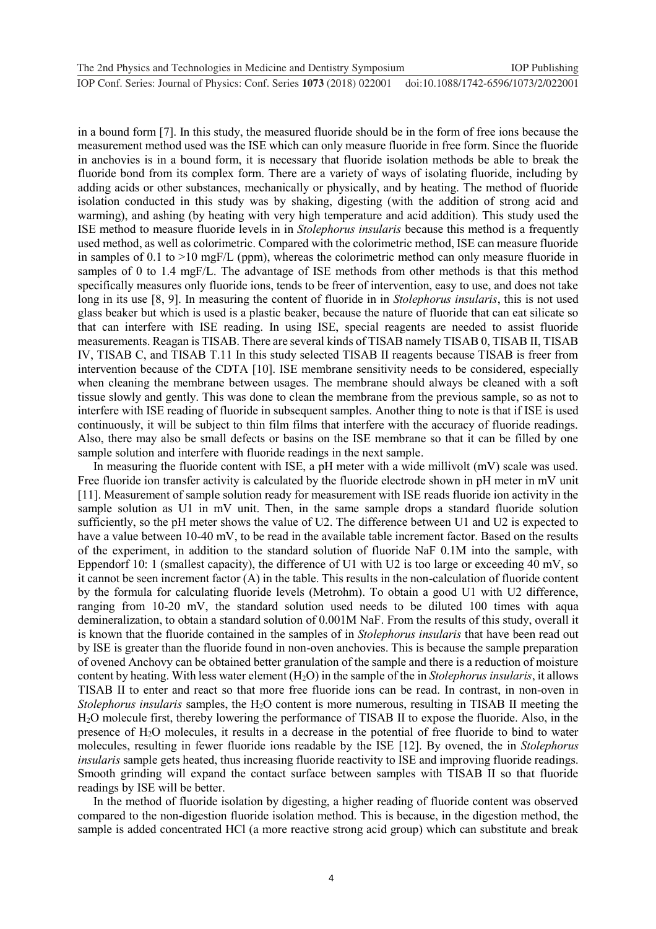in a bound form [7]. In this study, the measured fluoride should be in the form of free ions because the measurement method used was the ISE which can only measure fluoride in free form. Since the fluoride in anchovies is in a bound form, it is necessary that fluoride isolation methods be able to break the fluoride bond from its complex form. There are a variety of ways of isolating fluoride, including by adding acids or other substances, mechanically or physically, and by heating. The method of fluoride isolation conducted in this study was by shaking, digesting (with the addition of strong acid and warming), and ashing (by heating with very high temperature and acid addition). This study used the ISE method to measure fluoride levels in in *Stolephorus insularis* because this method is a frequently used method, as well as colorimetric. Compared with the colorimetric method, ISE can measure fluoride in samples of 0.1 to  $>10$  mgF/L (ppm), whereas the colorimetric method can only measure fluoride in samples of 0 to 1.4 mgF/L. The advantage of ISE methods from other methods is that this method specifically measures only fluoride ions, tends to be freer of intervention, easy to use, and does not take long in its use [8, 9]. In measuring the content of fluoride in in *Stolephorus insularis*, this is not used glass beaker but which is used is a plastic beaker, because the nature of fluoride that can eat silicate so that can interfere with ISE reading. In using ISE, special reagents are needed to assist fluoride measurements. Reagan is TISAB. There are several kinds of TISAB namely TISAB 0, TISAB II, TISAB IV, TISAB C, and TISAB T.11 In this study selected TISAB II reagents because TISAB is freer from intervention because of the CDTA [10]. ISE membrane sensitivity needs to be considered, especially when cleaning the membrane between usages. The membrane should always be cleaned with a soft tissue slowly and gently. This was done to clean the membrane from the previous sample, so as not to interfere with ISE reading of fluoride in subsequent samples. Another thing to note is that if ISE is used continuously, it will be subject to thin film films that interfere with the accuracy of fluoride readings. Also, there may also be small defects or basins on the ISE membrane so that it can be filled by one sample solution and interfere with fluoride readings in the next sample.

In measuring the fluoride content with ISE, a pH meter with a wide millivolt (mV) scale was used. Free fluoride ion transfer activity is calculated by the fluoride electrode shown in pH meter in mV unit [11]. Measurement of sample solution ready for measurement with ISE reads fluoride ion activity in the sample solution as U1 in mV unit. Then, in the same sample drops a standard fluoride solution sufficiently, so the pH meter shows the value of U2. The difference between U1 and U2 is expected to have a value between 10-40 mV, to be read in the available table increment factor. Based on the results of the experiment, in addition to the standard solution of fluoride NaF 0.1M into the sample, with Eppendorf 10: 1 (smallest capacity), the difference of U1 with U2 is too large or exceeding 40 mV, so it cannot be seen increment factor (A) in the table. This results in the non-calculation of fluoride content by the formula for calculating fluoride levels (Metrohm). To obtain a good U1 with U2 difference, ranging from 10-20 mV, the standard solution used needs to be diluted 100 times with aqua demineralization, to obtain a standard solution of 0.001M NaF. From the results of this study, overall it is known that the fluoride contained in the samples of in *Stolephorus insularis* that have been read out by ISE is greater than the fluoride found in non-oven anchovies. This is because the sample preparation of ovened Anchovy can be obtained better granulation of the sample and there is a reduction of moisture content by heating. With less water element (H2O) in the sample of the in *Stolephorus insularis*, it allows TISAB II to enter and react so that more free fluoride ions can be read. In contrast, in non-oven in *Stolephorus insularis* samples, the H2O content is more numerous, resulting in TISAB II meeting the H2O molecule first, thereby lowering the performance of TISAB II to expose the fluoride. Also, in the presence of H2O molecules, it results in a decrease in the potential of free fluoride to bind to water molecules, resulting in fewer fluoride ions readable by the ISE [12]. By ovened, the in *Stolephorus insularis* sample gets heated, thus increasing fluoride reactivity to ISE and improving fluoride readings. Smooth grinding will expand the contact surface between samples with TISAB II so that fluoride readings by ISE will be better.

In the method of fluoride isolation by digesting, a higher reading of fluoride content was observed compared to the non-digestion fluoride isolation method. This is because, in the digestion method, the sample is added concentrated HCl (a more reactive strong acid group) which can substitute and break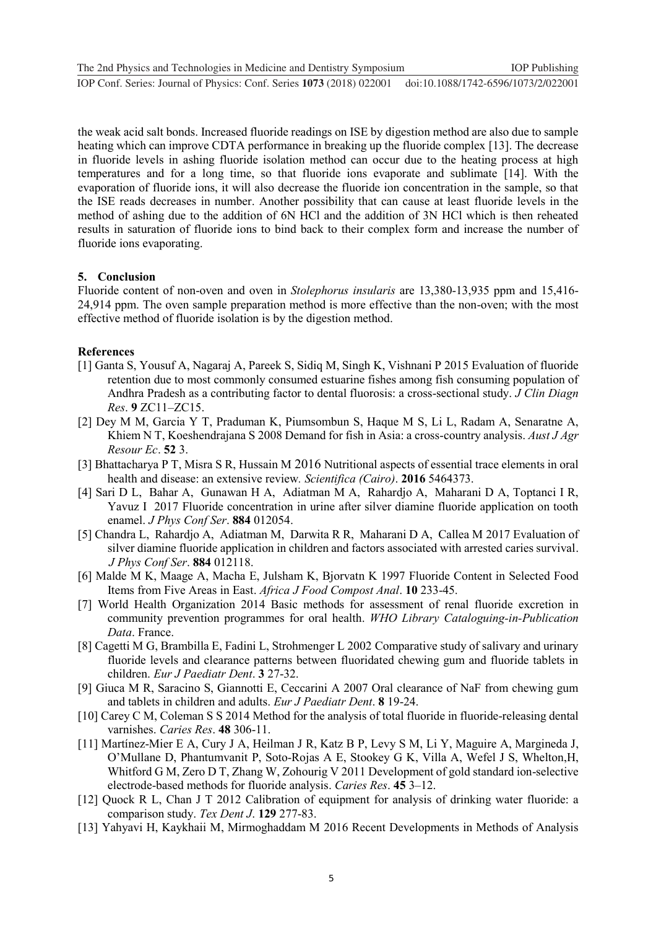**1234567890** ''"" IOP Conf. Series: Journal of Physics: Conf. Series **1073** (2018) 022001 doi :10.1088/1742-6596/1073/2/022001

the weak acid salt bonds. Increased fluoride readings on ISE by digestion method are also due to sample heating which can improve CDTA performance in breaking up the fluoride complex [13]. The decrease in fluoride levels in ashing fluoride isolation method can occur due to the heating process at high temperatures and for a long time, so that fluoride ions evaporate and sublimate [14]. With the evaporation of fluoride ions, it will also decrease the fluoride ion concentration in the sample, so that the ISE reads decreases in number. Another possibility that can cause at least fluoride levels in the method of ashing due to the addition of 6N HCl and the addition of 3N HCl which is then reheated results in saturation of fluoride ions to bind back to their complex form and increase the number of fluoride ions evaporating.

# **5. Conclusion**

Fluoride content of non-oven and oven in *Stolephorus insularis* are 13,380-13,935 ppm and 15,416- 24,914 ppm. The oven sample preparation method is more effective than the non-oven; with the most effective method of fluoride isolation is by the digestion method.

#### **References**

- [1] Ganta S, Yousuf A, Nagaraj A, Pareek S, Sidiq M, Singh K, Vishnani P 2015 Evaluation of fluoride retention due to most commonly consumed estuarine fishes among fish consuming population of Andhra Pradesh as a contributing factor to dental fluorosis: a cross-sectional study. *J Clin Diagn Res*. **9** ZC11–ZC15.
- [2] Dey M M, Garcia Y T, Praduman K, Piumsombun S, Haque M S, Li L, Radam A, Senaratne A, Khiem N T, Koeshendrajana S 2008 Demand for fish in Asia: a cross-country analysis. *Aust J Agr Resour Ec*. **52** 3.
- [3] Bhattacharya P T, Misra S R, Hussain M 2016 Nutritional aspects of essential trace elements in oral health and disease: an extensive review*. Scientifica (Cairo)*. **2016** 5464373.
- [4] Sari D L, Bahar A, Gunawan H A, Adiatman M A, Rahardjo A, Maharani D A, Toptanci I R, Yavuz I 2017 Fluoride concentration in urine after silver diamine fluoride application on tooth enamel. *J Phys Conf Ser*. **884** 012054.
- [5] Chandra L, Rahardjo A, Adiatman M, Darwita R R, Maharani D A, Callea M 2017 Evaluation of silver diamine fluoride application in children and factors associated with arrested caries survival. *J Phys Conf Ser*. **884** 012118.
- [6] Malde M K, Maage A, Macha E, Julsham K, Bjorvatn K 1997 Fluoride Content in Selected Food Items from Five Areas in East. *Africa J Food Compost Anal*. **10** 233-45.
- [7] World Health Organization 2014 Basic methods for assessment of renal fluoride excretion in community prevention programmes for oral health. *WHO Library Cataloguing-in-Publication Data*. France.
- [8] Cagetti M G, Brambilla E, Fadini L, Strohmenger L 2002 Comparative study of salivary and urinary fluoride levels and clearance patterns between fluoridated chewing gum and fluoride tablets in children. *Eur J Paediatr Dent*. **3** 27-32.
- [9] Giuca M R, Saracino S, Giannotti E, Ceccarini A 2007 Oral clearance of NaF from chewing gum and tablets in children and adults. *Eur J Paediatr Dent*. **8** 19-24.
- [10] Carey C M, Coleman S S 2014 Method for the analysis of total fluoride in fluoride-releasing dental varnishes. *Caries Res*. **48** 306-11.
- [11] Martínez-Mier E A, Cury J A, Heilman J R, Katz B P, Levy S M, Li Y, Maguire A, Margineda J, O'Mullane D, Phantumvanit P, Soto-Rojas A E, Stookey G K, Villa A, Wefel J S, Whelton,H, Whitford G M, Zero D T, Zhang W, Zohourig V 2011 Development of gold standard ion-selective electrode-based methods for fluoride analysis. *Caries Res*. **45** 3–12.
- [12] Quock R L, Chan J T 2012 Calibration of equipment for analysis of drinking water fluoride: a comparison study. *Tex Dent J*. **129** 277-83.
- [13] Yahyavi H, Kaykhaii M, Mirmoghaddam M 2016 Recent Developments in Methods of Analysis